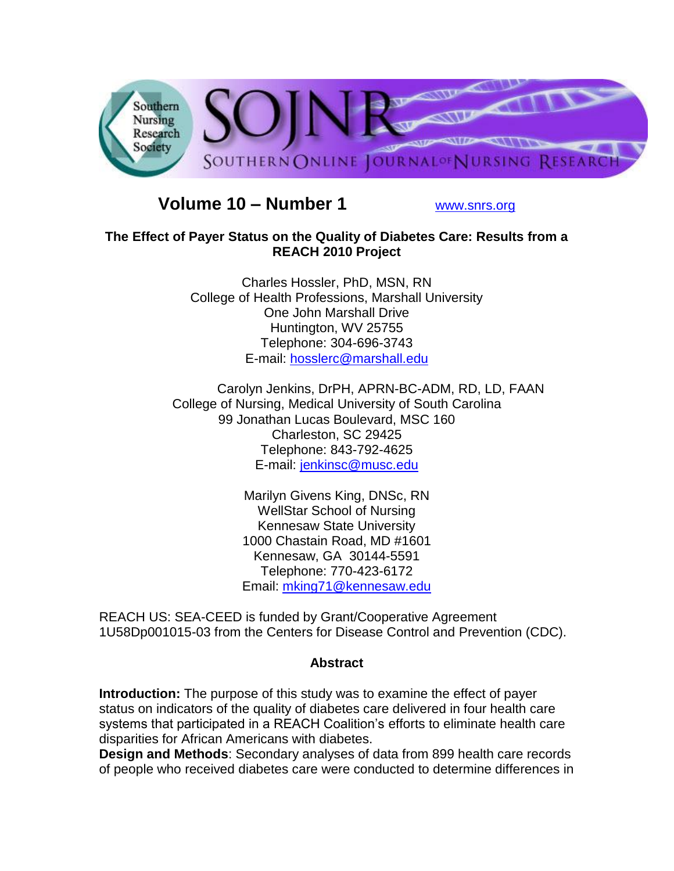

# **Volume 10 – Number 1** [www.snrs.org](http://www.snrs.org/)

#### **The Effect of Payer Status on the Quality of Diabetes Care: Results from a REACH 2010 Project**

Charles Hossler, PhD, MSN, RN College of Health Professions, Marshall University One John Marshall Drive Huntington, WV 25755 Telephone: 304-696-3743 E-mail: [hosslerc@marshall.edu](mailto:hosslerc@marshall.edu)

 Carolyn Jenkins, DrPH, APRN-BC-ADM, RD, LD, FAAN College of Nursing, Medical University of South Carolina 99 Jonathan Lucas Boulevard, MSC 160 Charleston, SC 29425 Telephone: 843-792-4625 E-mail: [jenkinsc@musc.edu](mailto:jenkinsc@musc.edu)

> Marilyn Givens King, DNSc, RN WellStar School of Nursing Kennesaw State University 1000 Chastain Road, MD #1601 Kennesaw, GA 30144-5591 Telephone: 770-423-6172 Email: [mking71@kennesaw.edu](mailto:mking71@kennesaw.edu)

REACH US: SEA-CEED is funded by Grant/Cooperative Agreement 1U58Dp001015-03 from the Centers for Disease Control and Prevention (CDC).

#### **Abstract**

**Introduction:** The purpose of this study was to examine the effect of payer status on indicators of the quality of diabetes care delivered in four health care systems that participated in a REACH Coalition's efforts to eliminate health care disparities for African Americans with diabetes.

**Design and Methods**: Secondary analyses of data from 899 health care records of people who received diabetes care were conducted to determine differences in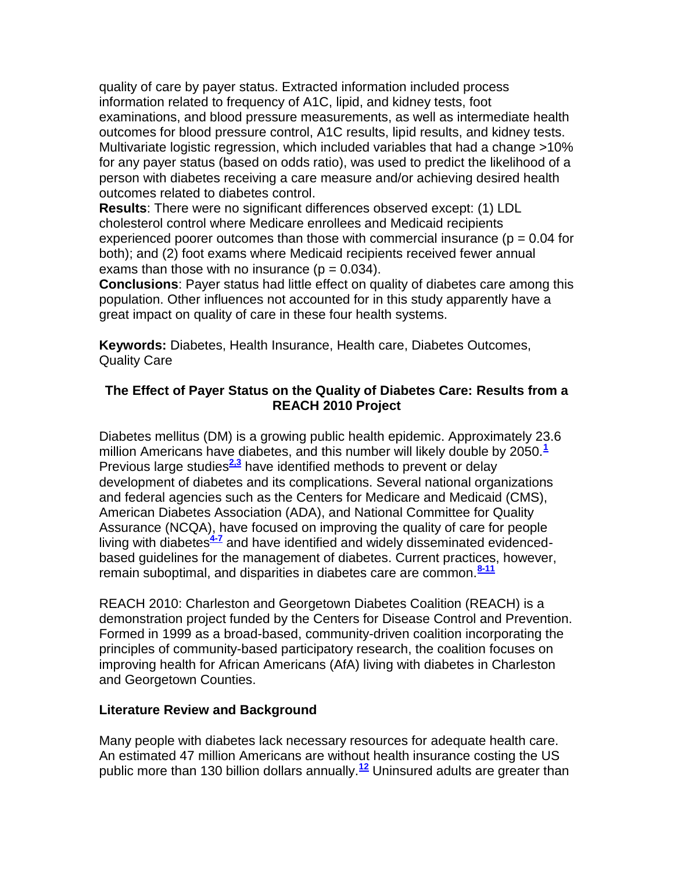quality of care by payer status. Extracted information included process information related to frequency of A1C, lipid, and kidney tests, foot examinations, and blood pressure measurements, as well as intermediate health outcomes for blood pressure control, A1C results, lipid results, and kidney tests. Multivariate logistic regression, which included variables that had a change >10% for any payer status (based on odds ratio), was used to predict the likelihood of a person with diabetes receiving a care measure and/or achieving desired health outcomes related to diabetes control.

**Results**: There were no significant differences observed except: (1) LDL cholesterol control where Medicare enrollees and Medicaid recipients experienced poorer outcomes than those with commercial insurance ( $p = 0.04$  for both); and (2) foot exams where Medicaid recipients received fewer annual exams than those with no insurance ( $p = 0.034$ ).

**Conclusions**: Payer status had little effect on quality of diabetes care among this population. Other influences not accounted for in this study apparently have a great impact on quality of care in these four health systems.

**Keywords:** Diabetes, Health Insurance, Health care, Diabetes Outcomes, Quality Care

#### **The Effect of Payer Status on the Quality of Diabetes Care: Results from a REACH 2010 Project**

Diabetes mellitus (DM) is a growing public health epidemic. Approximately 23.6 million Americans have diabetes, and this number will likely double by 2050.**[1](http://snrs.org/publications/SOJNR_articles2/n)** Previous large studies<sup>[2,3](http://snrs.org/publications/SOJNR_articles2/n)</sup> have identified methods to prevent or delay development of diabetes and its complications. Several national organizations and federal agencies such as the Centers for Medicare and Medicaid (CMS), American Diabetes Association (ADA), and National Committee for Quality Assurance (NCQA), have focused on improving the quality of care for people living with diabetes**[4-7](http://snrs.org/publications/SOJNR_articles2/n)** and have identified and widely disseminated evidencedbased guidelines for the management of diabetes. Current practices, however, remain suboptimal, and disparities in diabetes care are common.**[8-11](http://snrs.org/publications/SOJNR_articles2/n)**

REACH 2010: Charleston and Georgetown Diabetes Coalition (REACH) is a demonstration project funded by the Centers for Disease Control and Prevention. Formed in 1999 as a broad-based, community-driven coalition incorporating the principles of community-based participatory research, the coalition focuses on improving health for African Americans (AfA) living with diabetes in Charleston and Georgetown Counties.

#### **Literature Review and Background**

Many people with diabetes lack necessary resources for adequate health care. An estimated 47 million Americans are without health insurance costing the US public more than 130 billion dollars annually.**[12](http://snrs.org/publications/SOJNR_articles2/n)** Uninsured adults are greater than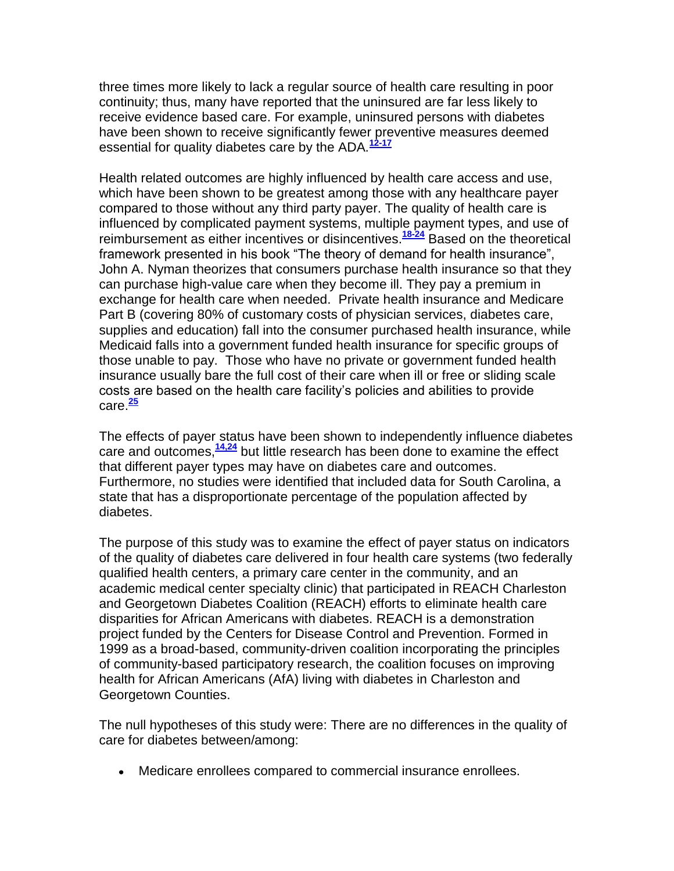three times more likely to lack a regular source of health care resulting in poor continuity; thus, many have reported that the uninsured are far less likely to receive evidence based care. For example, uninsured persons with diabetes have been shown to receive significantly fewer preventive measures deemed essential for quality diabetes care by the ADA.**[12-17](http://snrs.org/publications/SOJNR_articles2/n)**

Health related outcomes are highly influenced by health care access and use, which have been shown to be greatest among those with any healthcare payer compared to those without any third party payer. The quality of health care is influenced by complicated payment systems, multiple payment types, and use of reimbursement as either incentives or disincentives.**[18-24](http://snrs.org/publications/SOJNR_articles2/n)** Based on the theoretical framework presented in his book "The theory of demand for health insurance", John A. Nyman theorizes that consumers purchase health insurance so that they can purchase high-value care when they become ill. They pay a premium in exchange for health care when needed. Private health insurance and Medicare Part B (covering 80% of customary costs of physician services, diabetes care, supplies and education) fall into the consumer purchased health insurance, while Medicaid falls into a government funded health insurance for specific groups of those unable to pay. Those who have no private or government funded health insurance usually bare the full cost of their care when ill or free or sliding scale costs are based on the health care facility's policies and abilities to provide care.**[25](http://snrs.org/publications/SOJNR_articles2/n)**

The effects of payer status have been shown to independently influence diabetes care and outcomes,**[14,24](http://snrs.org/publications/SOJNR_articles2/n)** but little research has been done to examine the effect that different payer types may have on diabetes care and outcomes. Furthermore, no studies were identified that included data for South Carolina, a state that has a disproportionate percentage of the population affected by diabetes.

The purpose of this study was to examine the effect of payer status on indicators of the quality of diabetes care delivered in four health care systems (two federally qualified health centers, a primary care center in the community, and an academic medical center specialty clinic) that participated in REACH Charleston and Georgetown Diabetes Coalition (REACH) efforts to eliminate health care disparities for African Americans with diabetes. REACH is a demonstration project funded by the Centers for Disease Control and Prevention. Formed in 1999 as a broad-based, community-driven coalition incorporating the principles of community-based participatory research, the coalition focuses on improving health for African Americans (AfA) living with diabetes in Charleston and Georgetown Counties.

The null hypotheses of this study were: There are no differences in the quality of care for diabetes between/among:

Medicare enrollees compared to commercial insurance enrollees.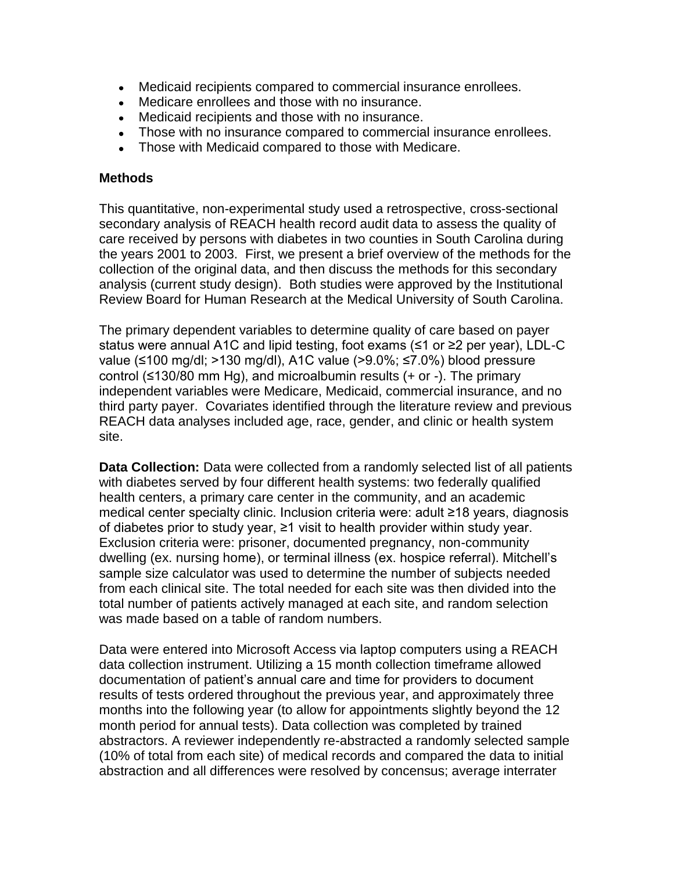- Medicaid recipients compared to commercial insurance enrollees.
- Medicare enrollees and those with no insurance.
- Medicaid recipients and those with no insurance.
- Those with no insurance compared to commercial insurance enrollees.
- Those with Medicaid compared to those with Medicare.

#### **Methods**

This quantitative, non-experimental study used a retrospective, cross-sectional secondary analysis of REACH health record audit data to assess the quality of care received by persons with diabetes in two counties in South Carolina during the years 2001 to 2003. First, we present a brief overview of the methods for the collection of the original data, and then discuss the methods for this secondary analysis (current study design). Both studies were approved by the Institutional Review Board for Human Research at the Medical University of South Carolina.

The primary dependent variables to determine quality of care based on payer status were annual A1C and lipid testing, foot exams (≤1 or ≥2 per year), LDL-C value (≤100 mg/dl; >130 mg/dl), A1C value (>9.0%; ≤7.0%) blood pressure control (≤130/80 mm Hg), and microalbumin results (+ or -). The primary independent variables were Medicare, Medicaid, commercial insurance, and no third party payer. Covariates identified through the literature review and previous REACH data analyses included age, race, gender, and clinic or health system site.

**Data Collection:** Data were collected from a randomly selected list of all patients with diabetes served by four different health systems: two federally qualified health centers, a primary care center in the community, and an academic medical center specialty clinic. Inclusion criteria were: adult ≥18 years, diagnosis of diabetes prior to study year, ≥1 visit to health provider within study year. Exclusion criteria were: prisoner, documented pregnancy, non-community dwelling (ex. nursing home), or terminal illness (ex. hospice referral). Mitchell's sample size calculator was used to determine the number of subjects needed from each clinical site. The total needed for each site was then divided into the total number of patients actively managed at each site, and random selection was made based on a table of random numbers.

Data were entered into Microsoft Access via laptop computers using a REACH data collection instrument. Utilizing a 15 month collection timeframe allowed documentation of patient's annual care and time for providers to document results of tests ordered throughout the previous year, and approximately three months into the following year (to allow for appointments slightly beyond the 12 month period for annual tests). Data collection was completed by trained abstractors. A reviewer independently re-abstracted a randomly selected sample (10% of total from each site) of medical records and compared the data to initial abstraction and all differences were resolved by concensus; average interrater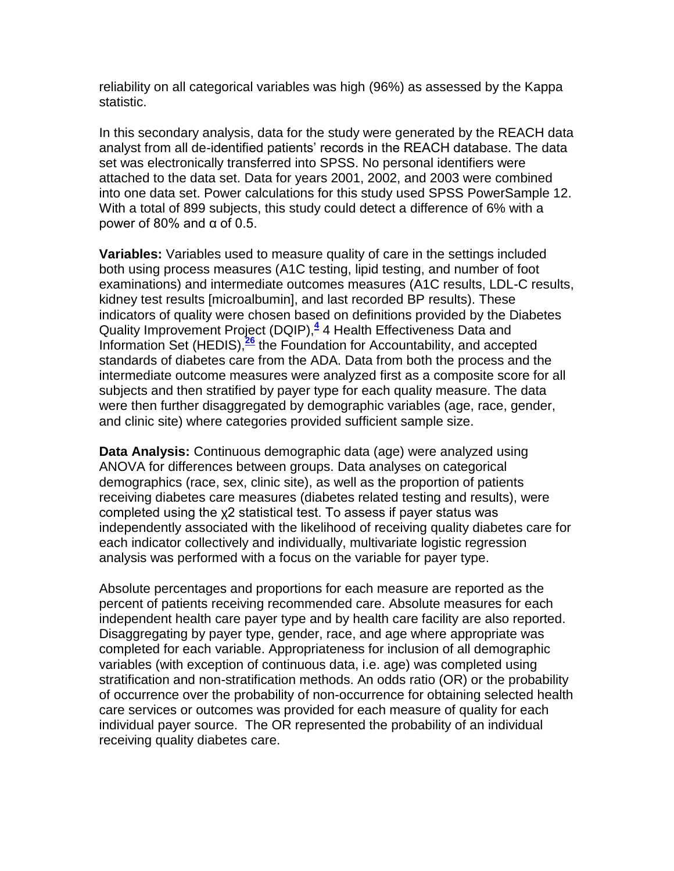reliability on all categorical variables was high (96%) as assessed by the Kappa statistic.

In this secondary analysis, data for the study were generated by the REACH data analyst from all de-identified patients' records in the REACH database. The data set was electronically transferred into SPSS. No personal identifiers were attached to the data set. Data for years 2001, 2002, and 2003 were combined into one data set. Power calculations for this study used SPSS PowerSample 12. With a total of 899 subjects, this study could detect a difference of 6% with a power of 80% and  $α$  of 0.5.

**Variables:** Variables used to measure quality of care in the settings included both using process measures (A1C testing, lipid testing, and number of foot examinations) and intermediate outcomes measures (A1C results, LDL-C results, kidney test results [microalbumin], and last recorded BP results). These indicators of quality were chosen based on definitions provided by the Diabetes Quality Improvement Project (DQIP),**[4](http://snrs.org/publications/SOJNR_articles2/n)** 4 Health Effectiveness Data and Information Set (HEDIS),**[26](http://snrs.org/publications/SOJNR_articles2/n)** the Foundation for Accountability, and accepted standards of diabetes care from the ADA. Data from both the process and the intermediate outcome measures were analyzed first as a composite score for all subjects and then stratified by payer type for each quality measure. The data were then further disaggregated by demographic variables (age, race, gender, and clinic site) where categories provided sufficient sample size.

**Data Analysis:** Continuous demographic data (age) were analyzed using ANOVA for differences between groups. Data analyses on categorical demographics (race, sex, clinic site), as well as the proportion of patients receiving diabetes care measures (diabetes related testing and results), were completed using the χ2 statistical test. To assess if payer status was independently associated with the likelihood of receiving quality diabetes care for each indicator collectively and individually, multivariate logistic regression analysis was performed with a focus on the variable for payer type.

Absolute percentages and proportions for each measure are reported as the percent of patients receiving recommended care. Absolute measures for each independent health care payer type and by health care facility are also reported. Disaggregating by payer type, gender, race, and age where appropriate was completed for each variable. Appropriateness for inclusion of all demographic variables (with exception of continuous data, i.e. age) was completed using stratification and non-stratification methods. An odds ratio (OR) or the probability of occurrence over the probability of non-occurrence for obtaining selected health care services or outcomes was provided for each measure of quality for each individual payer source. The OR represented the probability of an individual receiving quality diabetes care.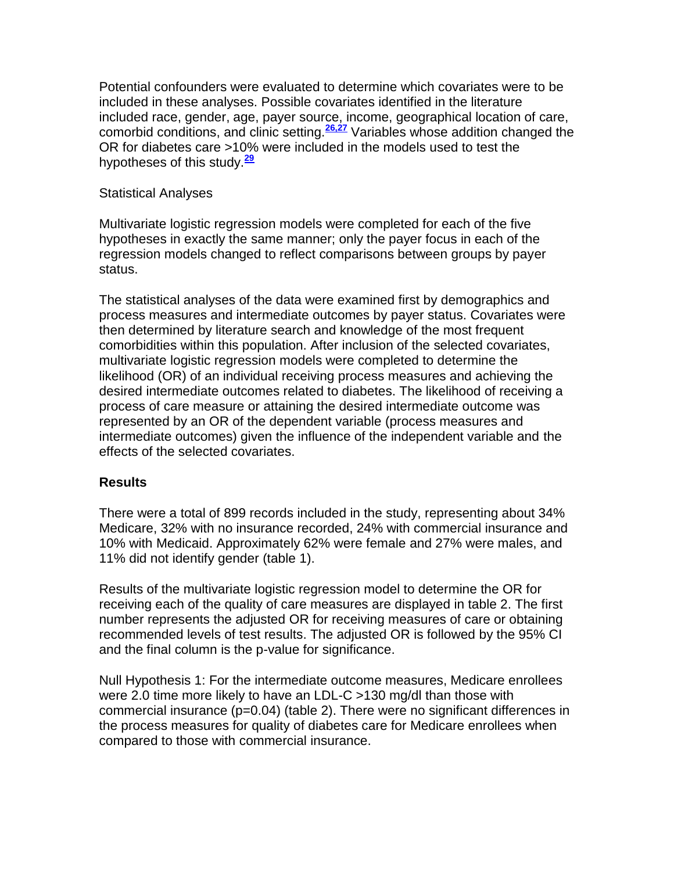Potential confounders were evaluated to determine which covariates were to be included in these analyses. Possible covariates identified in the literature included race, gender, age, payer source, income, geographical location of care, comorbid conditions, and clinic setting.**[26,27](http://snrs.org/publications/SOJNR_articles2/n)** Variables whose addition changed the OR for diabetes care >10% were included in the models used to test the hypotheses of this study.**[29](http://snrs.org/publications/SOJNR_articles2/n)**

#### Statistical Analyses

Multivariate logistic regression models were completed for each of the five hypotheses in exactly the same manner; only the payer focus in each of the regression models changed to reflect comparisons between groups by payer status.

The statistical analyses of the data were examined first by demographics and process measures and intermediate outcomes by payer status. Covariates were then determined by literature search and knowledge of the most frequent comorbidities within this population. After inclusion of the selected covariates, multivariate logistic regression models were completed to determine the likelihood (OR) of an individual receiving process measures and achieving the desired intermediate outcomes related to diabetes. The likelihood of receiving a process of care measure or attaining the desired intermediate outcome was represented by an OR of the dependent variable (process measures and intermediate outcomes) given the influence of the independent variable and the effects of the selected covariates.

#### **Results**

There were a total of 899 records included in the study, representing about 34% Medicare, 32% with no insurance recorded, 24% with commercial insurance and 10% with Medicaid. Approximately 62% were female and 27% were males, and 11% did not identify gender (table 1).

Results of the multivariate logistic regression model to determine the OR for receiving each of the quality of care measures are displayed in table 2. The first number represents the adjusted OR for receiving measures of care or obtaining recommended levels of test results. The adjusted OR is followed by the 95% CI and the final column is the p-value for significance.

Null Hypothesis 1: For the intermediate outcome measures, Medicare enrollees were 2.0 time more likely to have an LDL-C >130 mg/dl than those with commercial insurance (p=0.04) (table 2). There were no significant differences in the process measures for quality of diabetes care for Medicare enrollees when compared to those with commercial insurance.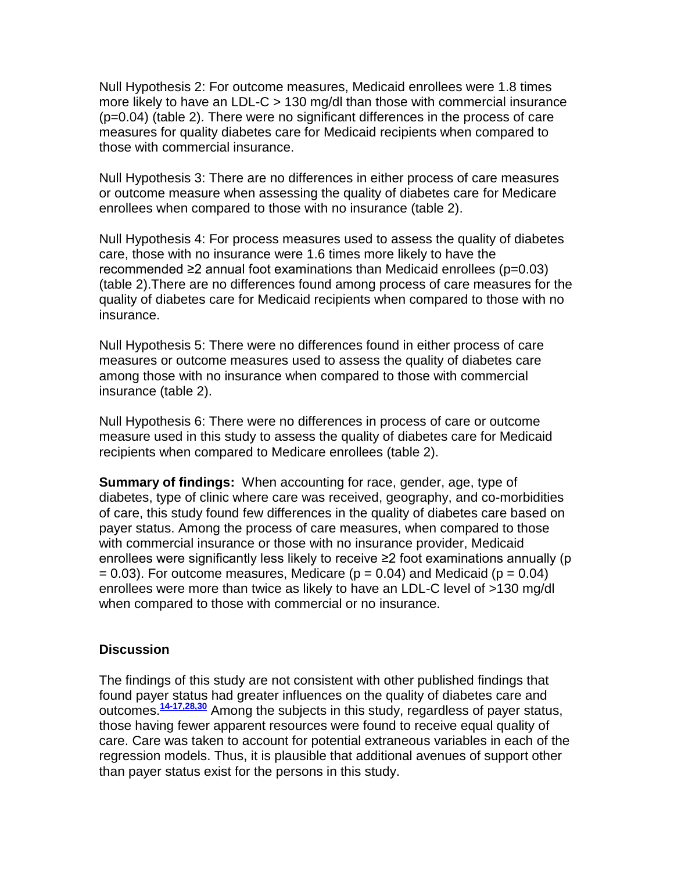Null Hypothesis 2: For outcome measures, Medicaid enrollees were 1.8 times more likely to have an LDL-C > 130 mg/dl than those with commercial insurance (p=0.04) (table 2). There were no significant differences in the process of care measures for quality diabetes care for Medicaid recipients when compared to those with commercial insurance.

Null Hypothesis 3: There are no differences in either process of care measures or outcome measure when assessing the quality of diabetes care for Medicare enrollees when compared to those with no insurance (table 2).

Null Hypothesis 4: For process measures used to assess the quality of diabetes care, those with no insurance were 1.6 times more likely to have the recommended ≥2 annual foot examinations than Medicaid enrollees (p=0.03) (table 2).There are no differences found among process of care measures for the quality of diabetes care for Medicaid recipients when compared to those with no insurance.

Null Hypothesis 5: There were no differences found in either process of care measures or outcome measures used to assess the quality of diabetes care among those with no insurance when compared to those with commercial insurance (table 2).

Null Hypothesis 6: There were no differences in process of care or outcome measure used in this study to assess the quality of diabetes care for Medicaid recipients when compared to Medicare enrollees (table 2).

**Summary of findings:** When accounting for race, gender, age, type of diabetes, type of clinic where care was received, geography, and co-morbidities of care, this study found few differences in the quality of diabetes care based on payer status. Among the process of care measures, when compared to those with commercial insurance or those with no insurance provider, Medicaid enrollees were significantly less likely to receive ≥2 foot examinations annually (p  $= 0.03$ ). For outcome measures, Medicare (p  $= 0.04$ ) and Medicaid (p  $= 0.04$ ) enrollees were more than twice as likely to have an LDL-C level of >130 mg/dl when compared to those with commercial or no insurance.

#### **Discussion**

The findings of this study are not consistent with other published findings that found payer status had greater influences on the quality of diabetes care and outcomes.**[14-17,28,30](http://snrs.org/publications/SOJNR_articles2/n)** Among the subjects in this study, regardless of payer status, those having fewer apparent resources were found to receive equal quality of care. Care was taken to account for potential extraneous variables in each of the regression models. Thus, it is plausible that additional avenues of support other than payer status exist for the persons in this study.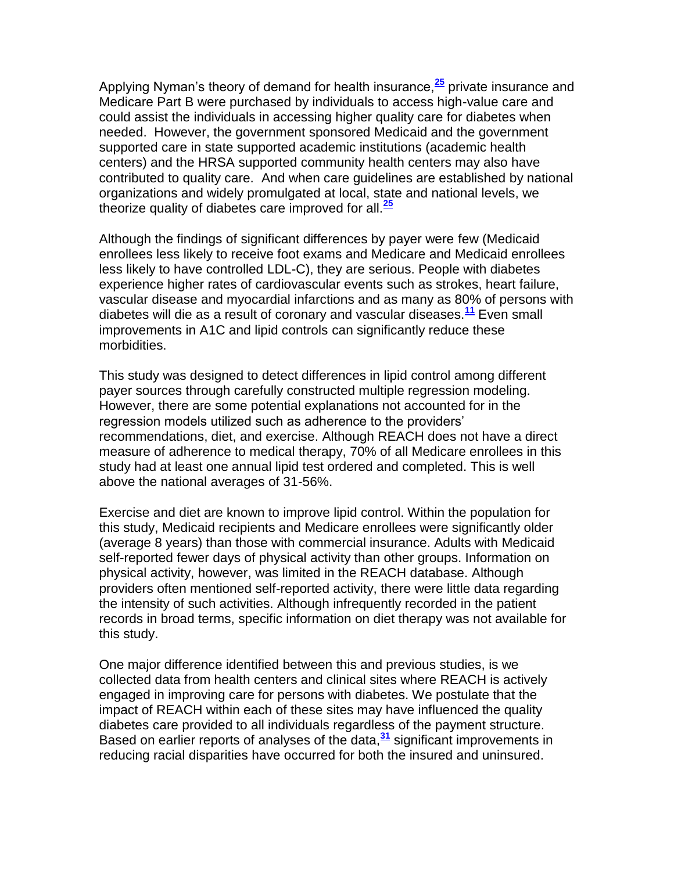Applying Nyman's theory of demand for health insurance,**[25](http://snrs.org/publications/SOJNR_articles2/n)** private insurance and Medicare Part B were purchased by individuals to access high-value care and could assist the individuals in accessing higher quality care for diabetes when needed. However, the government sponsored Medicaid and the government supported care in state supported academic institutions (academic health centers) and the HRSA supported community health centers may also have contributed to quality care. And when care guidelines are established by national organizations and widely promulgated at local, state and national levels, we theorize quality of diabetes care improved for all.**[25](http://snrs.org/publications/SOJNR_articles2/n)**

Although the findings of significant differences by payer were few (Medicaid enrollees less likely to receive foot exams and Medicare and Medicaid enrollees less likely to have controlled LDL-C), they are serious. People with diabetes experience higher rates of cardiovascular events such as strokes, heart failure, vascular disease and myocardial infarctions and as many as 80% of persons with diabetes will die as a result of coronary and vascular diseases.**[11](http://snrs.org/publications/SOJNR_articles2/n)** Even small improvements in A1C and lipid controls can significantly reduce these morbidities.

This study was designed to detect differences in lipid control among different payer sources through carefully constructed multiple regression modeling. However, there are some potential explanations not accounted for in the regression models utilized such as adherence to the providers' recommendations, diet, and exercise. Although REACH does not have a direct measure of adherence to medical therapy, 70% of all Medicare enrollees in this study had at least one annual lipid test ordered and completed. This is well above the national averages of 31-56%.

Exercise and diet are known to improve lipid control. Within the population for this study, Medicaid recipients and Medicare enrollees were significantly older (average 8 years) than those with commercial insurance. Adults with Medicaid self-reported fewer days of physical activity than other groups. Information on physical activity, however, was limited in the REACH database. Although providers often mentioned self-reported activity, there were little data regarding the intensity of such activities. Although infrequently recorded in the patient records in broad terms, specific information on diet therapy was not available for this study.

One major difference identified between this and previous studies, is we collected data from health centers and clinical sites where REACH is actively engaged in improving care for persons with diabetes. We postulate that the impact of REACH within each of these sites may have influenced the quality diabetes care provided to all individuals regardless of the payment structure. Based on earlier reports of analyses of the data,**[31](http://snrs.org/publications/SOJNR_articles2/n)** significant improvements in reducing racial disparities have occurred for both the insured and uninsured.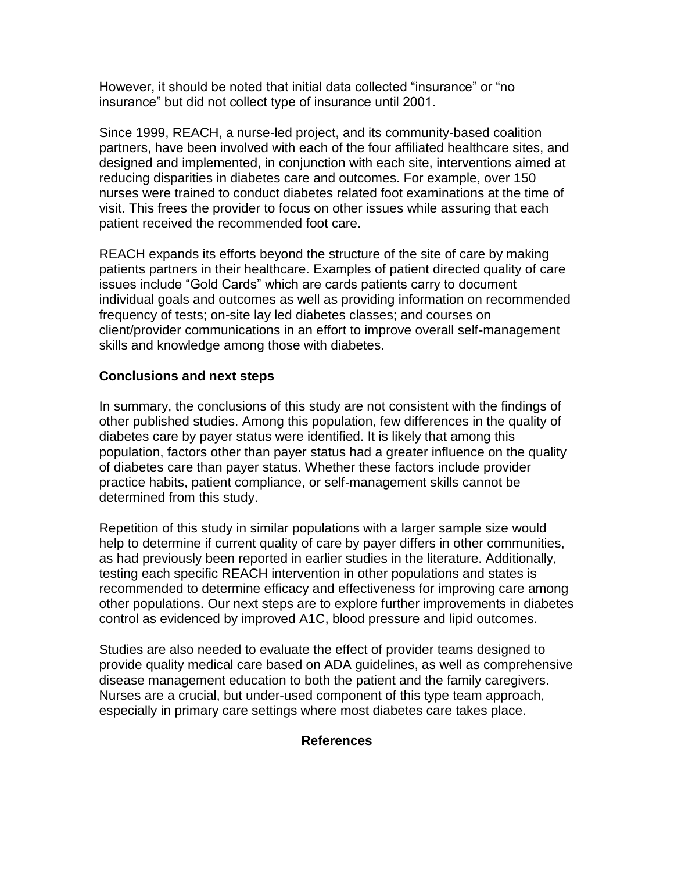However, it should be noted that initial data collected "insurance" or "no insurance" but did not collect type of insurance until 2001.

Since 1999, REACH, a nurse-led project, and its community-based coalition partners, have been involved with each of the four affiliated healthcare sites, and designed and implemented, in conjunction with each site, interventions aimed at reducing disparities in diabetes care and outcomes. For example, over 150 nurses were trained to conduct diabetes related foot examinations at the time of visit. This frees the provider to focus on other issues while assuring that each patient received the recommended foot care.

REACH expands its efforts beyond the structure of the site of care by making patients partners in their healthcare. Examples of patient directed quality of care issues include "Gold Cards" which are cards patients carry to document individual goals and outcomes as well as providing information on recommended frequency of tests; on-site lay led diabetes classes; and courses on client/provider communications in an effort to improve overall self-management skills and knowledge among those with diabetes.

### **Conclusions and next steps**

In summary, the conclusions of this study are not consistent with the findings of other published studies. Among this population, few differences in the quality of diabetes care by payer status were identified. It is likely that among this population, factors other than payer status had a greater influence on the quality of diabetes care than payer status. Whether these factors include provider practice habits, patient compliance, or self-management skills cannot be determined from this study.

Repetition of this study in similar populations with a larger sample size would help to determine if current quality of care by payer differs in other communities, as had previously been reported in earlier studies in the literature. Additionally, testing each specific REACH intervention in other populations and states is recommended to determine efficacy and effectiveness for improving care among other populations. Our next steps are to explore further improvements in diabetes control as evidenced by improved A1C, blood pressure and lipid outcomes.

Studies are also needed to evaluate the effect of provider teams designed to provide quality medical care based on ADA guidelines, as well as comprehensive disease management education to both the patient and the family caregivers. Nurses are a crucial, but under-used component of this type team approach, especially in primary care settings where most diabetes care takes place.

#### **References**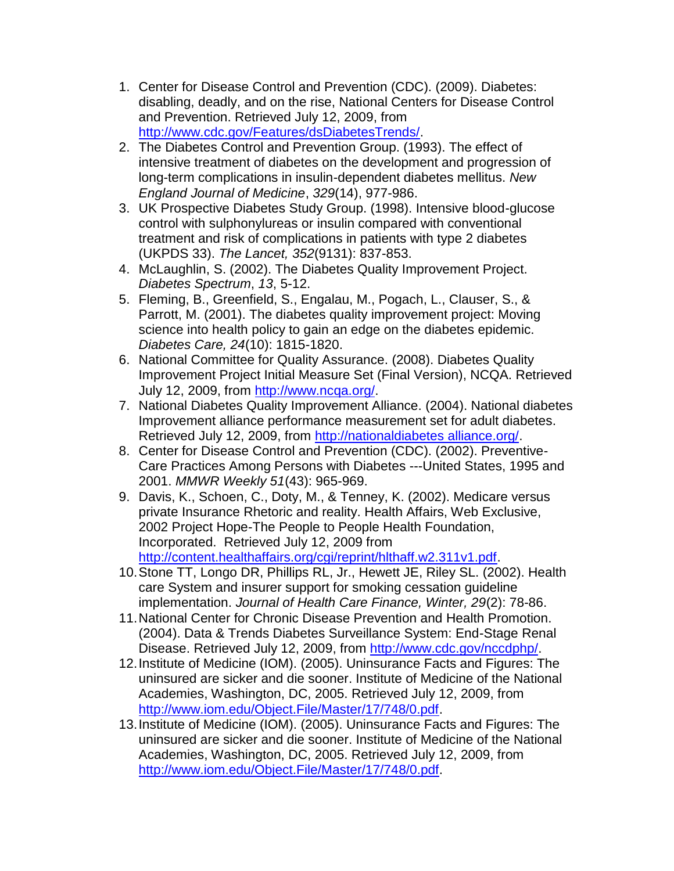- 1. Center for Disease Control and Prevention (CDC). (2009). Diabetes: disabling, deadly, and on the rise, National Centers for Disease Control and Prevention. Retrieved July 12, 2009, from [http://www.cdc.gov/Features/dsDiabetesTrends/.](http://www.cdc.gov/Features/dsDiabetesTrends/)
- 2. The Diabetes Control and Prevention Group. (1993). The effect of intensive treatment of diabetes on the development and progression of long-term complications in insulin-dependent diabetes mellitus. *New England Journal of Medicine*, *329*(14), 977-986.
- 3. UK Prospective Diabetes Study Group. (1998). Intensive blood-glucose control with sulphonylureas or insulin compared with conventional treatment and risk of complications in patients with type 2 diabetes (UKPDS 33). *The Lancet, 352*(9131): 837-853.
- 4. McLaughlin, S. (2002). The Diabetes Quality Improvement Project. *Diabetes Spectrum*, *13*, 5-12.
- 5. Fleming, B., Greenfield, S., Engalau, M., Pogach, L., Clauser, S., & Parrott, M. (2001). The diabetes quality improvement project: Moving science into health policy to gain an edge on the diabetes epidemic. *Diabetes Care, 24*(10): 1815-1820.
- 6. National Committee for Quality Assurance. (2008). Diabetes Quality Improvement Project Initial Measure Set (Final Version), NCQA. Retrieved July 12, 2009, from [http://www.ncqa.org/.](http://www.ncqa.org/)
- 7. National Diabetes Quality Improvement Alliance. (2004). National diabetes Improvement alliance performance measurement set for adult diabetes. Retrieved July 12, 2009, from http://nationaldiabetes alliance.org/.
- 8. Center for Disease Control and Prevention (CDC). (2002). Preventive-Care Practices Among Persons with Diabetes ---United States, 1995 and 2001. *MMWR Weekly 51*(43): 965-969.
- 9. Davis, K., Schoen, C., Doty, M., & Tenney, K. (2002). Medicare versus private Insurance Rhetoric and reality. Health Affairs, Web Exclusive, 2002 Project Hope-The People to People Health Foundation, Incorporated. Retrieved July 12, 2009 from [http://content.healthaffairs.org/cgi/reprint/hlthaff.w2.311v1.pdf.](http://content.healthaffairs.org/cgi/reprint/hlthaff.w2.311v1.pdf)
- 10.Stone TT, Longo DR, Phillips RL, Jr., Hewett JE, Riley SL. (2002). Health care System and insurer support for smoking cessation guideline implementation. *Journal of Health Care Finance, Winter, 29*(2): 78-86.
- 11.National Center for Chronic Disease Prevention and Health Promotion. (2004). Data & Trends Diabetes Surveillance System: End-Stage Renal Disease. Retrieved July 12, 2009, from [http://www.cdc.gov/nccdphp/.](http://www.cdc.gov/nccdphp/)
- 12.Institute of Medicine (IOM). (2005). Uninsurance Facts and Figures: The uninsured are sicker and die sooner. Institute of Medicine of the National Academies, Washington, DC, 2005. Retrieved July 12, 2009, from [http://www.iom.edu/Object.File/Master/17/748/0.pdf.](http://www.iom.edu/Object.File/Master/17/748/0.pdf)
- 13.Institute of Medicine (IOM). (2005). Uninsurance Facts and Figures: The uninsured are sicker and die sooner. Institute of Medicine of the National Academies, Washington, DC, 2005. Retrieved July 12, 2009, from [http://www.iom.edu/Object.File/Master/17/748/0.pdf.](http://www.iom.edu/Object.File/Master/17/748/0.pdf)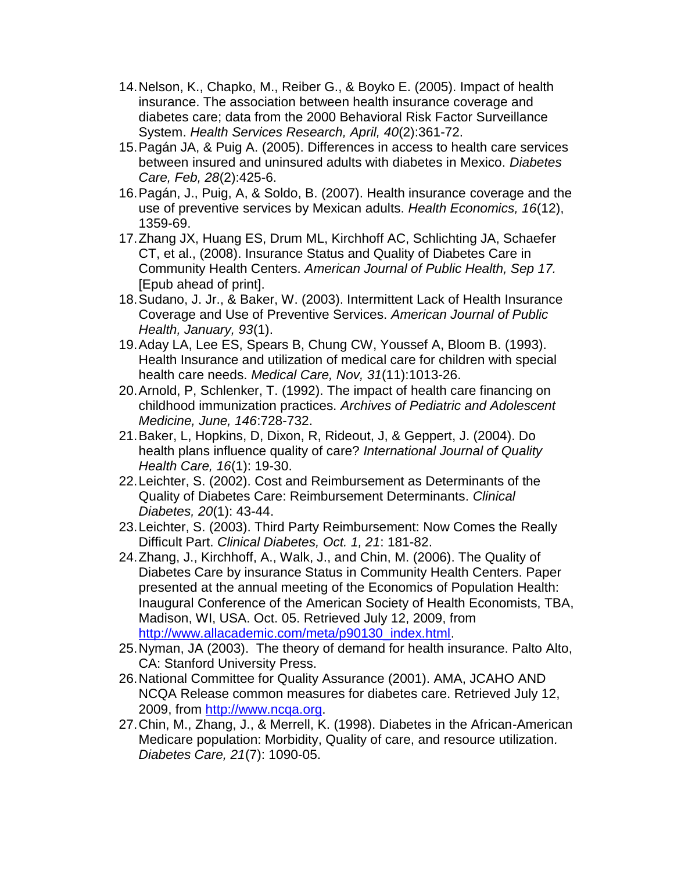- 14.Nelson, K., Chapko, M., Reiber G., & Boyko E. (2005). Impact of health insurance. The association between health insurance coverage and diabetes care; data from the 2000 Behavioral Risk Factor Surveillance System. *Health Services Research, April, 40*(2):361-72.
- 15.Pagán JA, & Puig A. (2005). Differences in access to health care services between insured and uninsured adults with diabetes in Mexico. *Diabetes Care, Feb, 28*(2):425-6.
- 16.Pagán, J., Puig, A, & Soldo, B. (2007). Health insurance coverage and the use of preventive services by Mexican adults. *Health Economics, 16*(12), 1359-69.
- 17.Zhang JX, Huang ES, Drum ML, Kirchhoff AC, Schlichting JA, Schaefer CT, et al., (2008). Insurance Status and Quality of Diabetes Care in Community Health Centers. *American Journal of Public Health, Sep 17.*  [Epub ahead of print].
- 18.Sudano, J. Jr., & Baker, W. (2003). Intermittent Lack of Health Insurance Coverage and Use of Preventive Services. *American Journal of Public Health, January, 93*(1).
- 19.Aday LA, Lee ES, Spears B, Chung CW, Youssef A, Bloom B. (1993). Health Insurance and utilization of medical care for children with special health care needs. *Medical Care, Nov, 31*(11):1013-26.
- 20.Arnold, P, Schlenker, T. (1992). The impact of health care financing on childhood immunization practices. *Archives of Pediatric and Adolescent Medicine, June, 146*:728-732.
- 21.Baker, L, Hopkins, D, Dixon, R, Rideout, J, & Geppert, J. (2004). Do health plans influence quality of care? *International Journal of Quality Health Care, 16*(1): 19-30.
- 22.Leichter, S. (2002). Cost and Reimbursement as Determinants of the Quality of Diabetes Care: Reimbursement Determinants. *Clinical Diabetes, 20*(1): 43-44.
- 23.Leichter, S. (2003). Third Party Reimbursement: Now Comes the Really Difficult Part. *Clinical Diabetes, Oct. 1, 21*: 181-82.
- 24.Zhang, J., Kirchhoff, A., Walk, J., and Chin, M. (2006). The Quality of Diabetes Care by insurance Status in Community Health Centers. Paper presented at the annual meeting of the Economics of Population Health: Inaugural Conference of the American Society of Health Economists, TBA, Madison, WI, USA. Oct. 05. Retrieved July 12, 2009, from [http://www.allacademic.com/meta/p90130\\_index.html.](http://www.allacademic.com/meta/p90130_index.html)
- 25.Nyman, JA (2003). The theory of demand for health insurance. Palto Alto, CA: Stanford University Press.
- 26.National Committee for Quality Assurance (2001). AMA, JCAHO AND NCQA Release common measures for diabetes care. Retrieved July 12, 2009, from [http://www.ncqa.org.](http://www.ncqa.org/)
- 27.Chin, M., Zhang, J., & Merrell, K. (1998). Diabetes in the African-American Medicare population: Morbidity, Quality of care, and resource utilization*. Diabetes Care, 21*(7): 1090-05.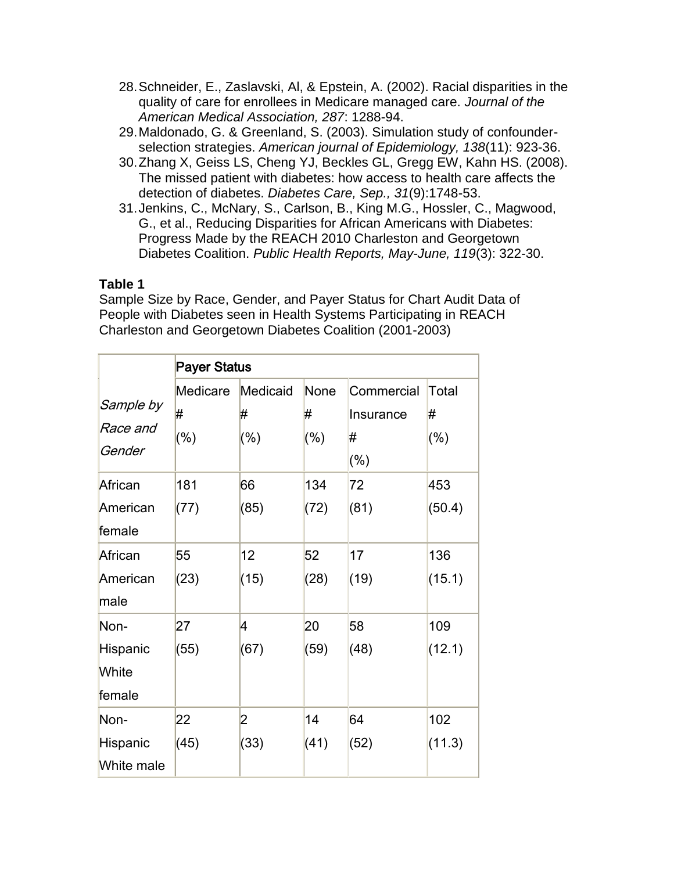- 28.Schneider, E., Zaslavski, Al, & Epstein, A. (2002). Racial disparities in the quality of care for enrollees in Medicare managed care. *Journal of the American Medical Association, 287*: 1288-94.
- 29.Maldonado, G. & Greenland, S. (2003). Simulation study of confounderselection strategies. *American journal of Epidemiology, 138*(11): 923-36.
- 30.Zhang X, Geiss LS, Cheng YJ, Beckles GL, Gregg EW, Kahn HS. (2008). The missed patient with diabetes: how access to health care affects the detection of diabetes. *Diabetes Care, Sep., 31*(9):1748-53.
- 31.Jenkins, C., McNary, S., Carlson, B., King M.G., Hossler, C., Magwood, G., et al., Reducing Disparities for African Americans with Diabetes: Progress Made by the REACH 2010 Charleston and Georgetown Diabetes Coalition. *Public Health Reports, May-June, 119*(3): 322-30.

## **Table 1**

Sample Size by Race, Gender, and Payer Status for Chart Audit Data of People with Diabetes seen in Health Systems Participating in REACH Charleston and Georgetown Diabetes Coalition (2001-2003)

|                             | <b>Payer Status</b> |               |           |                         |            |  |  |  |  |  |  |  |
|-----------------------------|---------------------|---------------|-----------|-------------------------|------------|--|--|--|--|--|--|--|
| Sample by                   | Medicare<br>#       | Medicaid<br># | None<br># | Commercial<br>Insurance | Total<br># |  |  |  |  |  |  |  |
| Race and<br>Gender          | $(\%)$              | $(\% )$       | $(\% )$   | #<br>(%)                | $(\% )$    |  |  |  |  |  |  |  |
| African                     | 181                 | 66            | 134       | 72                      | 453        |  |  |  |  |  |  |  |
| American<br>female          | (77)                | (85)          | (72)      | (81)                    | (50.4)     |  |  |  |  |  |  |  |
| African                     | 55                  | 12            | 52        | 17                      | 136        |  |  |  |  |  |  |  |
| American<br>male            | (23)                | (15)          | (28)      | (19)                    | (15.1)     |  |  |  |  |  |  |  |
| Non-                        | 27                  | 4             | 20        | 58                      | 109        |  |  |  |  |  |  |  |
| Hispanic<br>White<br>female | (55)                | (67)          | (59)      | (48)                    | (12.1)     |  |  |  |  |  |  |  |
| Non-                        | 22                  | 2             | 14        | 64                      | 102        |  |  |  |  |  |  |  |
| Hispanic<br>White male      | (45)                | (33)          | (41)      | (52)                    | (11.3)     |  |  |  |  |  |  |  |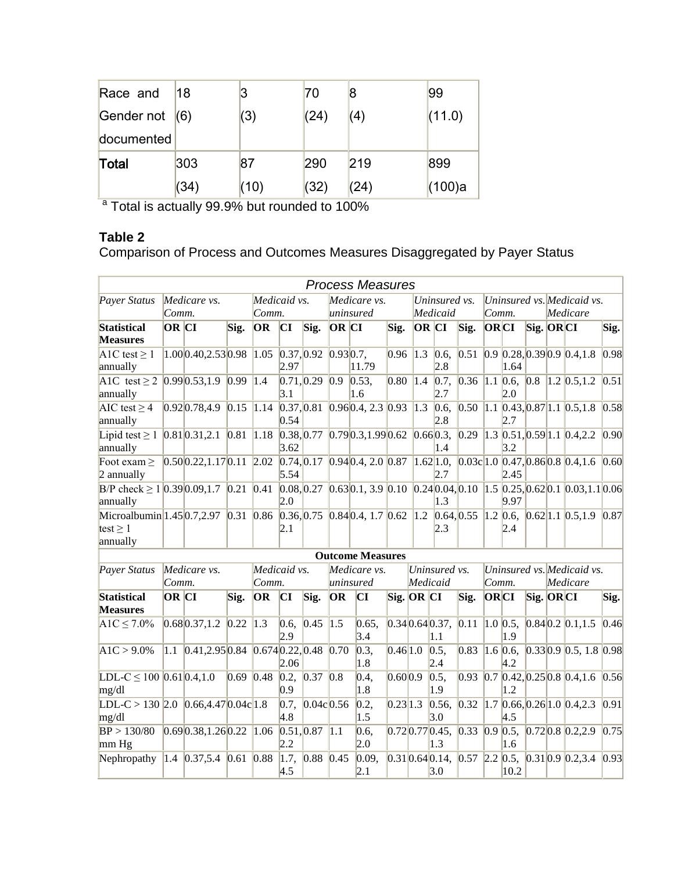| Race and         | 18   | 3    | 70   | 8    | 99     |  |
|------------------|------|------|------|------|--------|--|
| Gender not $(6)$ |      | (3)  | (24) | (4)  | (11.0) |  |
| documented       |      |      |      |      |        |  |
| Total            | 303  | 87   | 290  | 219  | 899    |  |
|                  | (34) | (10) | (32) | (24) | (100)a |  |

<sup>a</sup> Total is actually 99.9% but rounded to 100%

## **Table 2**

Comparison of Process and Outcomes Measures Disaggregated by Payer Status

|                                                                                                                 |              |                                                   |               |                   |                    |                         |               | <b>Process Measures</b>                                                                                                                                                                                                        |          |                   |                                             |      |                            |                    |           |          |                                                                       |      |
|-----------------------------------------------------------------------------------------------------------------|--------------|---------------------------------------------------|---------------|-------------------|--------------------|-------------------------|---------------|--------------------------------------------------------------------------------------------------------------------------------------------------------------------------------------------------------------------------------|----------|-------------------|---------------------------------------------|------|----------------------------|--------------------|-----------|----------|-----------------------------------------------------------------------|------|
| Payer Status<br>Medicare vs.                                                                                    |              |                                                   | Medicaid vs.  |                   |                    | Medicare vs.            |               | Uninsured vs.                                                                                                                                                                                                                  |          |                   | Uninsured vs. Medicaid vs.                  |      |                            |                    |           |          |                                                                       |      |
|                                                                                                                 | Comm.        |                                                   | Comm.         |                   | uninsured          |                         |               | Medicaid                                                                                                                                                                                                                       |          | Comm.             |                                             |      | Medicare                   |                    |           |          |                                                                       |      |
| <b>Statistical</b><br><b>Measures</b>                                                                           | OR CI        |                                                   | Sig.          | OR                | CI                 | Sig.                    | OR CI         |                                                                                                                                                                                                                                | Sig.     | OR CI             |                                             | Sig. | ORCI                       |                    | Sig. ORCI |          |                                                                       | Sig. |
| A1C test $\geq$ 1<br>annually                                                                                   |              | 1.000.40,2.530.98                                 |               | 1.05              | 2.97               | 0.37, 0.92, 0.93, 0.7,  |               | 11.79                                                                                                                                                                                                                          | 0.96     | $\vert 1.3 \vert$ | [0.6,<br>2.8                                | 0.51 |                            | 1.64               |           |          | $0.9$ 0.28, 0.39 0.9 0.4, 1.8                                         | 0.98 |
| A1C test $\geq 2$ 0.99 0.53,1.9 0.99 1.4<br>annually                                                            |              |                                                   |               |                   | 0.71, 0.29<br>3.1  |                         | $ 0.9\rangle$ | 0.53,<br>1.6                                                                                                                                                                                                                   | 0.80     | 1.4               | 2.7                                         |      |                            | 2.0                |           |          | $[0.7, 0.36, 1.1, 0.6, 0.8, 1.2, 0.5, 1.2]$                           | 0.51 |
| AIC test $\geq$ 4<br>annually                                                                                   |              | $0.92 \times 0.78,4.9 \times 1.15 \times 1.14$    |               |                   | 0.54               | 0.37, 0.81              |               | $0.96 \, 0.4, 2.3 \, 0.93$                                                                                                                                                                                                     |          | $ 1.3\rangle$     | 0.6,<br>2.8                                 | 0.50 |                            | 2.7                |           |          | $1.1$ 0.43, 0.87 1.1 0.5, 1.8 0.58                                    |      |
| Lipid test $\geq 1$ 0.81 0.31, 2.1 0.81 1.18<br>annually                                                        |              |                                                   |               |                   | 3.62               |                         |               | $[0.38, 0.77, 0.79, 0.3, 1.99, 0.62, 0.66, 0.3,$                                                                                                                                                                               |          |                   | 1.4                                         | 0.29 |                            | 3.2                |           |          | $1.3$ 0.51, 0.59 1.1 0.4, 2.2                                         | 0.90 |
| Foot exam $\geq$<br>2 annually                                                                                  |              | $0.50$ $0.22$ , 1.17 $0.11$ 2.02                  |               |                   | 5.54               |                         |               | [0.74, 0.17, 0.94, 0.4, 2.0, 0.87]                                                                                                                                                                                             |          |                   | 2.7                                         |      |                            | 2.45               |           |          | $1.62 1.0, 0.03c 1.0 0.47, 0.86 0.8 0.4, 1.6 0.60$                    |      |
| B/P check $\geq 1$ 0.39 0.09,1.7 0.21 0.41<br>annually                                                          |              |                                                   |               |                   | 2.0                |                         |               | $[0.08, 0.27, 0.63, 0.1, 3.9, 0.10, 0.24, 0.04, 0.10, 1.5, 0.25, 0.62, 0.1, 0.03, 1.1, 0.06, 0.03, 0.04, 0.05, 0.04, 0.05, 0.05, 0.05, 0.05, 0.05, 0.05, 0.05, 0.05, 0.05, 0.05, 0.05, 0.05, 0.05, 0.05, 0.05, 0.05, 0.05, 0.$ |          |                   | 1.3                                         |      |                            | 9.97               |           |          |                                                                       |      |
| Microalbumin 1.45 0.7, 2.97 0.31 0.86 0.36, 0.75 0.84 0.4, 1.7 0.62 1.2 0.64, 0.55<br>test $\geq 1$<br>annually |              |                                                   |               |                   | 2.1                |                         |               |                                                                                                                                                                                                                                |          |                   | 2.3                                         |      |                            | 2.4                |           |          | $1.2$ 0.6, 0.62 1.1 0.5, 1.9 0.87                                     |      |
|                                                                                                                 |              |                                                   |               |                   |                    |                         |               | <b>Outcome Measures</b>                                                                                                                                                                                                        |          |                   |                                             |      |                            |                    |           |          |                                                                       |      |
| Payer Status                                                                                                    |              | Medicare vs.                                      |               | Medicaid vs.      |                    |                         | Medicare vs.  |                                                                                                                                                                                                                                |          | Uninsured vs.     |                                             |      | Uninsured vs. Medicaid vs. |                    |           |          |                                                                       |      |
|                                                                                                                 | Comm.        |                                                   |               | Comm.             |                    |                         | uninsured     |                                                                                                                                                                                                                                |          | Medicaid          |                                             |      | Comm.                      |                    |           | Medicare |                                                                       |      |
| <b>Statistical</b><br><b>Measures</b>                                                                           | <b>OR</b> CI |                                                   | Sig.          | OR                | CI                 | Sig.                    | OR            | CI                                                                                                                                                                                                                             |          | Sig. OR CI        |                                             | Sig. | ORCI                       |                    | Sig. ORCI |          |                                                                       | Sig. |
| $A1C \le 7.0\%$                                                                                                 |              | $0.68$ 0.37, 1.2 0.22                             |               | $\vert 1.3 \vert$ | 0.6,<br>2.9        | 0.45                    | $\vert$ 1.5   | 0.65,<br>3.4                                                                                                                                                                                                                   |          |                   | $0.34 \times 0.64 \times 0.37, 0.11$<br>1.1 |      |                            | $1.0\,0.5,$<br>1.9 |           |          | $0.84 \times 0.2 \times 0.1, 1.5$                                     | 0.46 |
| $A1C > 9.0\%$                                                                                                   |              | 1.1 $[0.41, 2.95] 0.84$ $[0.674] 0.22, 0.48$ 0.70 |               |                   | 2.06               |                         |               | 0.3,<br>1.8                                                                                                                                                                                                                    | 0.46 1.0 |                   | $\vert 0.5, \vert$<br>2.4                   | 0.83 |                            | 1.6 0.6,<br>4.2    |           |          | $0.330.90.5$ , 1.8 0.98                                               |      |
| LDL-C $\leq$ 100 0.61 0.4,1.0<br>mg/dl                                                                          |              |                                                   | $0.69$ $0.48$ |                   | [0.2, 0.37]<br>0.9 |                         | 0.8           | 0.4,<br>1.8                                                                                                                                                                                                                    | 0.60 0.9 |                   | 0.5,<br>1.9                                 |      |                            | 1.2                |           |          | $0.93$ 0.7 0.42, 0.25 0.8 0.4, 1.6 0.56                               |      |
| LDL-C > 130 2.0 $0.66,4.47$ $0.04c$ 1.8<br>mg/dl                                                                |              |                                                   |               |                   | 0.7,<br>4.8        | $0.04c$ <sub>0.56</sub> |               | 0.2,<br>1.5                                                                                                                                                                                                                    | 0.23 1.3 |                   | 0.56,<br>3.0                                | 0.32 |                            | 4.5                |           |          | $1.7$ 0.66, 0.26 1.0 0.4, 2.3                                         | 0.91 |
| BP > 130/80<br>mm Hg                                                                                            |              | $0.690.38, 1.260.22$ 1.06                         |               |                   | 0.51, 0.87<br> 2.2 |                         | 1.1           | 0.6,<br>2.0                                                                                                                                                                                                                    |          |                   | 1.3                                         |      |                            | 1.6                |           |          | $[0.72]0.77]0.45, [0.33]0.9]0.5, [0.72]0.8]0.2,2.9$                   | 0.75 |
| Nephropathy                                                                                                     |              | $1.4$ 0.37,5.4 0.61 0.88                          |               |                   | 4.5                | $1.7, 0.88$ 0.45        |               | 0.09,<br>2.1                                                                                                                                                                                                                   |          |                   | 3.0                                         |      |                            | 10.2               |           |          | $[0.31] 0.64] 0.14$ , $[0.57] 2.2] 0.5$ , $[0.31] 0.9] 0.2,3.4] 0.93$ |      |